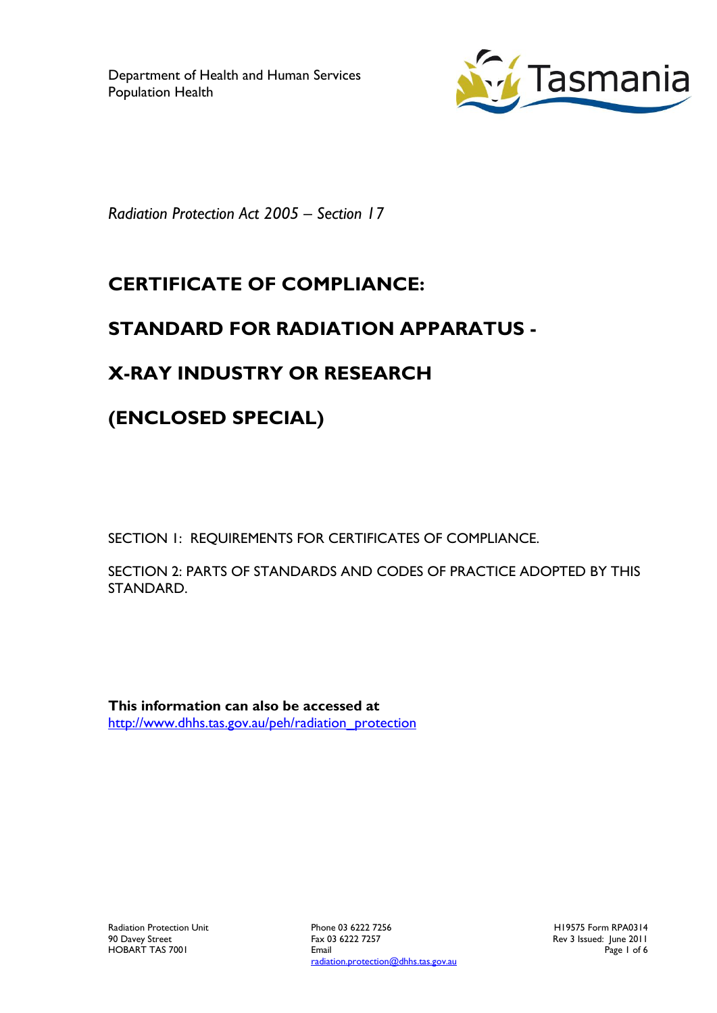

*Radiation Protection Act 2005 – Section 17*

# **CERTIFICATE OF COMPLIANCE:**

### **STANDARD FOR RADIATION APPARATUS -**

## **X-RAY INDUSTRY OR RESEARCH**

# **(ENCLOSED SPECIAL)**

SECTION 1: REQUIREMENTS FOR CERTIFICATES OF COMPLIANCE.

SECTION 2: PARTS OF STANDARDS AND CODES OF PRACTICE ADOPTED BY THIS STANDARD.

**This information can also be accessed at** [http://www.dhhs.tas.gov.au/peh/radiation\\_protection](http://www.dhhs.tas.gov.au/peh/radiation_protection)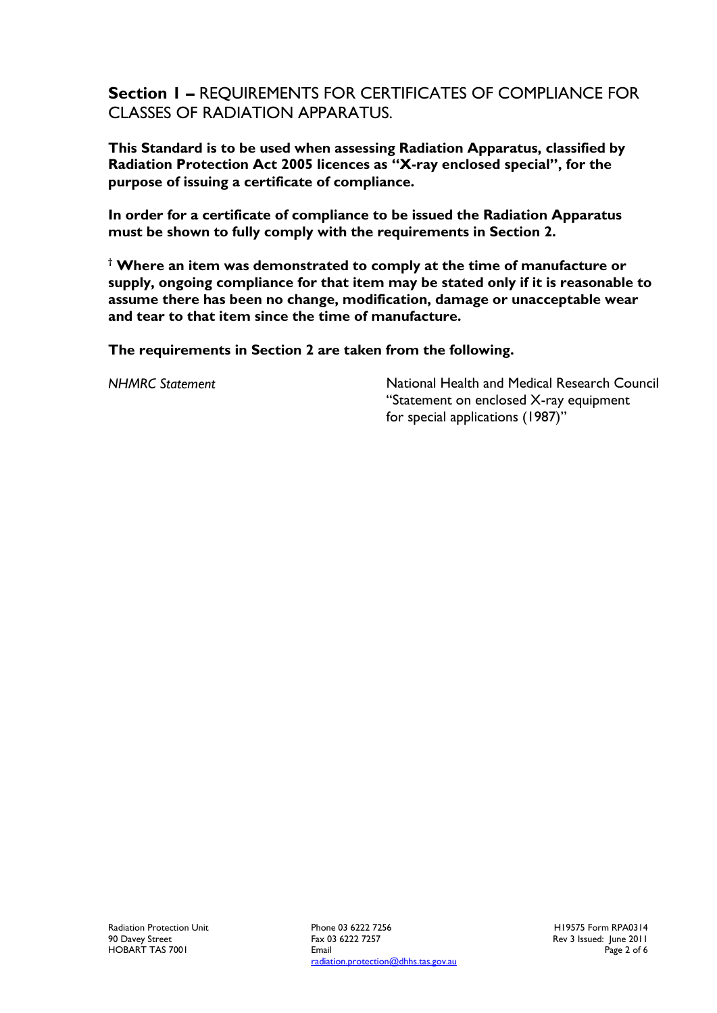**Section 1 –** REQUIREMENTS FOR CERTIFICATES OF COMPLIANCE FOR CLASSES OF RADIATION APPARATUS.

**This Standard is to be used when assessing Radiation Apparatus, classified by Radiation Protection Act 2005 licences as "X-ray enclosed special", for the purpose of issuing a certificate of compliance.**

**In order for a certificate of compliance to be issued the Radiation Apparatus must be shown to fully comply with the requirements in Section 2.**

**† Where an item was demonstrated to comply at the time of manufacture or supply, ongoing compliance for that item may be stated only if it is reasonable to assume there has been no change, modification, damage or unacceptable wear and tear to that item since the time of manufacture.**

**The requirements in Section 2 are taken from the following.**

*NHMRC Statement* National Health and Medical Research Council "Statement on enclosed X-ray equipment for special applications (1987)"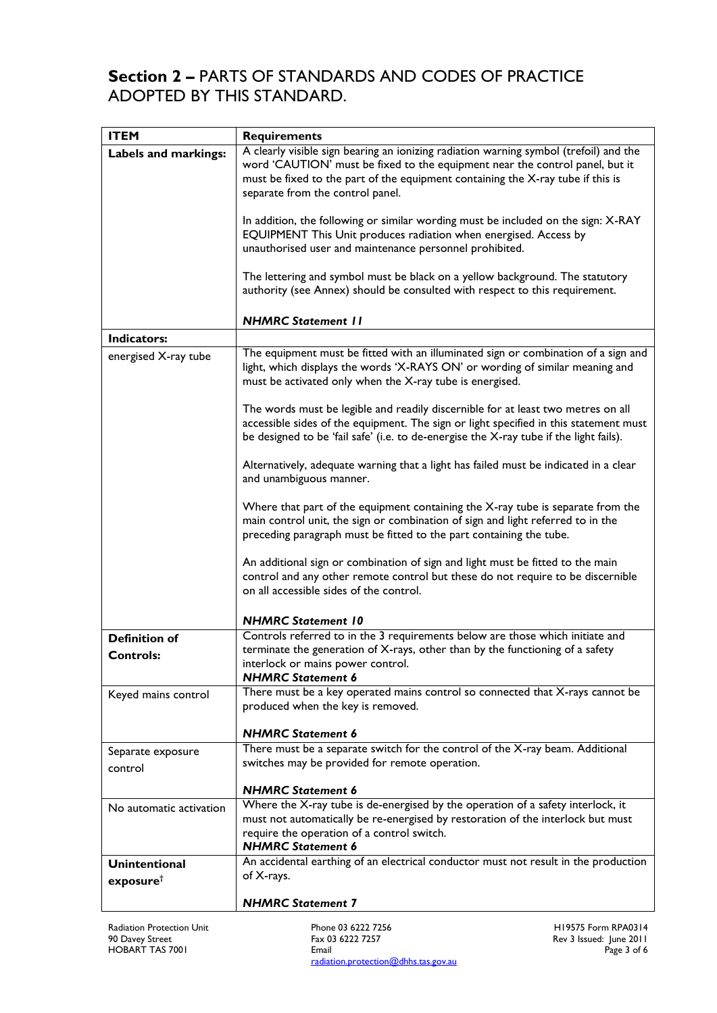#### **Section 2 –** PARTS OF STANDARDS AND CODES OF PRACTICE ADOPTED BY THIS STANDARD.

| <b>ITEM</b>                                   | <b>Requirements</b>                                                                                                                                                                                                                                                                          |
|-----------------------------------------------|----------------------------------------------------------------------------------------------------------------------------------------------------------------------------------------------------------------------------------------------------------------------------------------------|
| Labels and markings:                          | A clearly visible sign bearing an ionizing radiation warning symbol (trefoil) and the<br>word 'CAUTION' must be fixed to the equipment near the control panel, but it<br>must be fixed to the part of the equipment containing the X-ray tube if this is<br>separate from the control panel. |
|                                               | In addition, the following or similar wording must be included on the sign: X-RAY<br>EQUIPMENT This Unit produces radiation when energised. Access by<br>unauthorised user and maintenance personnel prohibited.                                                                             |
|                                               | The lettering and symbol must be black on a yellow background. The statutory<br>authority (see Annex) should be consulted with respect to this requirement.                                                                                                                                  |
|                                               | <b>NHMRC Statement 11</b>                                                                                                                                                                                                                                                                    |
| Indicators:                                   |                                                                                                                                                                                                                                                                                              |
| energised X-ray tube                          | The equipment must be fitted with an illuminated sign or combination of a sign and<br>light, which displays the words 'X-RAYS ON' or wording of similar meaning and<br>must be activated only when the X-ray tube is energised.                                                              |
|                                               | The words must be legible and readily discernible for at least two metres on all<br>accessible sides of the equipment. The sign or light specified in this statement must<br>be designed to be 'fail safe' (i.e. to de-energise the X-ray tube if the light fails).                          |
|                                               | Alternatively, adequate warning that a light has failed must be indicated in a clear<br>and unambiguous manner.                                                                                                                                                                              |
|                                               | Where that part of the equipment containing the X-ray tube is separate from the<br>main control unit, the sign or combination of sign and light referred to in the<br>preceding paragraph must be fitted to the part containing the tube.                                                    |
|                                               | An additional sign or combination of sign and light must be fitted to the main<br>control and any other remote control but these do not require to be discernible<br>on all accessible sides of the control.                                                                                 |
|                                               | <b>NHMRC Statement 10</b>                                                                                                                                                                                                                                                                    |
| <b>Definition of</b><br><b>Controls:</b>      | Controls referred to in the 3 requirements below are those which initiate and<br>terminate the generation of X-rays, other than by the functioning of a safety<br>interlock or mains power control.<br><b>NHMRC Statement 6</b>                                                              |
| Keyed mains control                           | There must be a key operated mains control so connected that X-rays cannot be<br>produced when the key is removed.                                                                                                                                                                           |
|                                               | <b>NHMRC Statement 6</b>                                                                                                                                                                                                                                                                     |
| Separate exposure<br>control                  | There must be a separate switch for the control of the X-ray beam. Additional<br>switches may be provided for remote operation.                                                                                                                                                              |
|                                               | <b>NHMRC Statement 6</b>                                                                                                                                                                                                                                                                     |
| No automatic activation                       | Where the X-ray tube is de-energised by the operation of a safety interlock, it<br>must not automatically be re-energised by restoration of the interlock but must<br>require the operation of a control switch.<br><b>NHMRC Statement 6</b>                                                 |
| <b>Unintentional</b><br>exposure <sup>†</sup> | An accidental earthing of an electrical conductor must not result in the production<br>of X-rays.                                                                                                                                                                                            |
|                                               | <b>NHMRC Statement 7</b>                                                                                                                                                                                                                                                                     |

Phone 03 6222 7256 Fax 03 6222 7257 Email radiation.protection@dhhs.tas.gov.au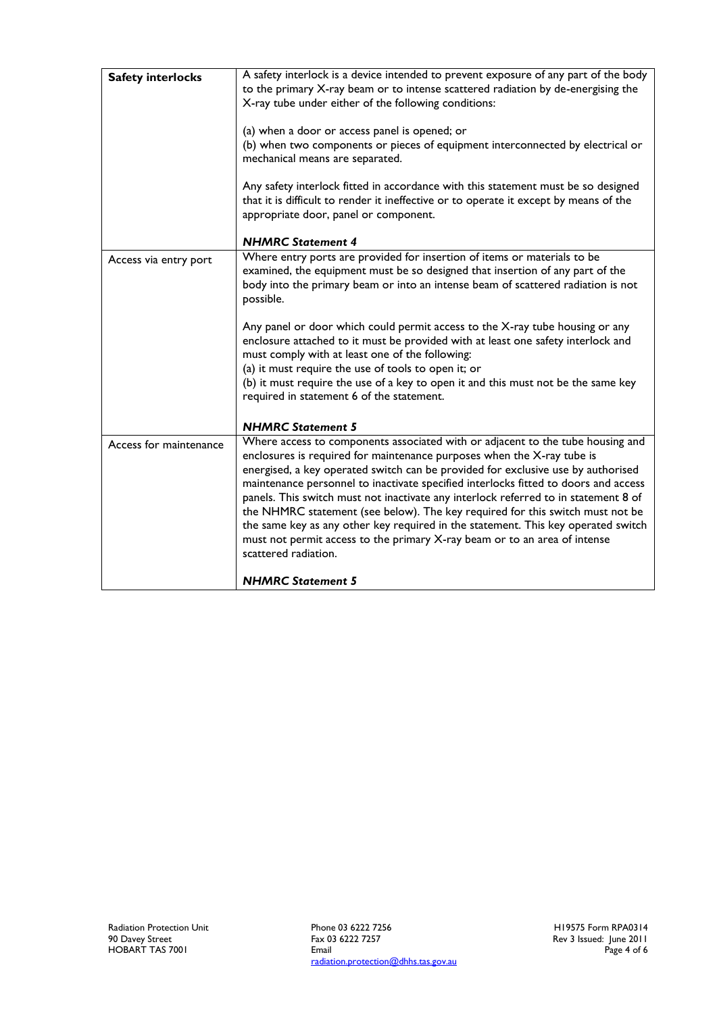| <b>Safety interlocks</b> | A safety interlock is a device intended to prevent exposure of any part of the body<br>to the primary X-ray beam or to intense scattered radiation by de-energising the<br>X-ray tube under either of the following conditions:                                                                                                                                                                                                                                                                                                                                                                                                                                                                       |
|--------------------------|-------------------------------------------------------------------------------------------------------------------------------------------------------------------------------------------------------------------------------------------------------------------------------------------------------------------------------------------------------------------------------------------------------------------------------------------------------------------------------------------------------------------------------------------------------------------------------------------------------------------------------------------------------------------------------------------------------|
|                          | (a) when a door or access panel is opened; or                                                                                                                                                                                                                                                                                                                                                                                                                                                                                                                                                                                                                                                         |
|                          | (b) when two components or pieces of equipment interconnected by electrical or<br>mechanical means are separated.                                                                                                                                                                                                                                                                                                                                                                                                                                                                                                                                                                                     |
|                          | Any safety interlock fitted in accordance with this statement must be so designed<br>that it is difficult to render it ineffective or to operate it except by means of the<br>appropriate door, panel or component.                                                                                                                                                                                                                                                                                                                                                                                                                                                                                   |
|                          | <b>NHMRC Statement 4</b>                                                                                                                                                                                                                                                                                                                                                                                                                                                                                                                                                                                                                                                                              |
| Access via entry port    | Where entry ports are provided for insertion of items or materials to be<br>examined, the equipment must be so designed that insertion of any part of the<br>body into the primary beam or into an intense beam of scattered radiation is not<br>possible.<br>Any panel or door which could permit access to the X-ray tube housing or any                                                                                                                                                                                                                                                                                                                                                            |
|                          | enclosure attached to it must be provided with at least one safety interlock and                                                                                                                                                                                                                                                                                                                                                                                                                                                                                                                                                                                                                      |
|                          | must comply with at least one of the following:                                                                                                                                                                                                                                                                                                                                                                                                                                                                                                                                                                                                                                                       |
|                          | (a) it must require the use of tools to open it; or                                                                                                                                                                                                                                                                                                                                                                                                                                                                                                                                                                                                                                                   |
|                          | (b) it must require the use of a key to open it and this must not be the same key<br>required in statement 6 of the statement.                                                                                                                                                                                                                                                                                                                                                                                                                                                                                                                                                                        |
|                          | <b>NHMRC Statement 5</b>                                                                                                                                                                                                                                                                                                                                                                                                                                                                                                                                                                                                                                                                              |
| Access for maintenance   | Where access to components associated with or adjacent to the tube housing and<br>enclosures is required for maintenance purposes when the X-ray tube is<br>energised, a key operated switch can be provided for exclusive use by authorised<br>maintenance personnel to inactivate specified interlocks fitted to doors and access<br>panels. This switch must not inactivate any interlock referred to in statement 8 of<br>the NHMRC statement (see below). The key required for this switch must not be<br>the same key as any other key required in the statement. This key operated switch<br>must not permit access to the primary X-ray beam or to an area of intense<br>scattered radiation. |
|                          | <b>NHMRC Statement 5</b>                                                                                                                                                                                                                                                                                                                                                                                                                                                                                                                                                                                                                                                                              |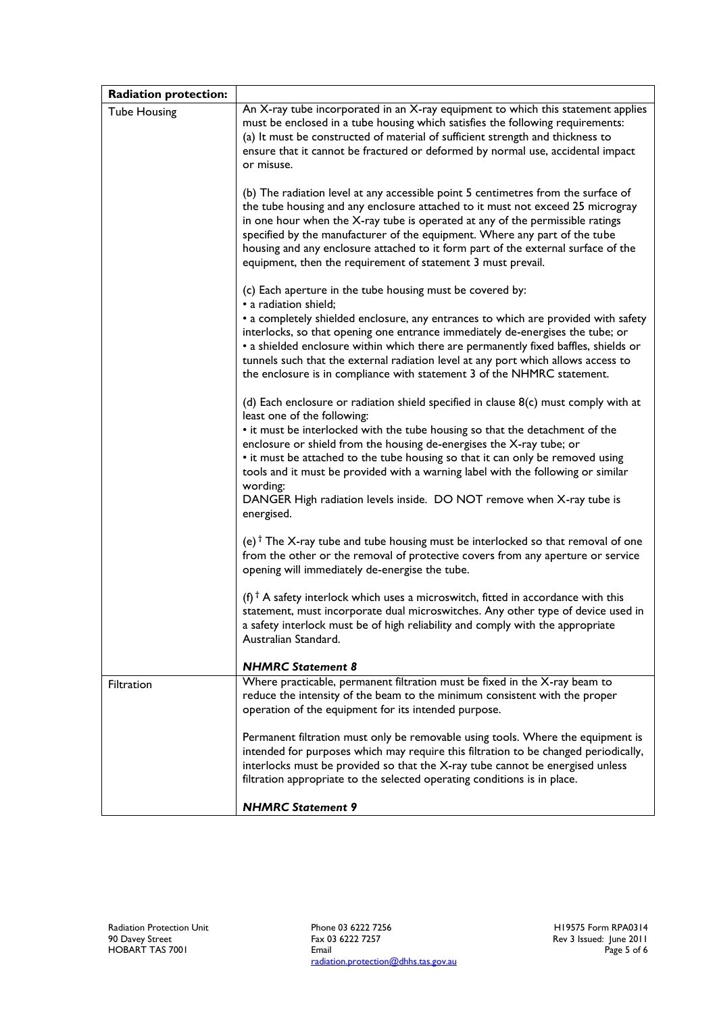| <b>Radiation protection:</b> |                                                                                                                                                                                                                                                                                                                                                                                                                                                                                            |
|------------------------------|--------------------------------------------------------------------------------------------------------------------------------------------------------------------------------------------------------------------------------------------------------------------------------------------------------------------------------------------------------------------------------------------------------------------------------------------------------------------------------------------|
| <b>Tube Housing</b>          | An X-ray tube incorporated in an X-ray equipment to which this statement applies<br>must be enclosed in a tube housing which satisfies the following requirements:<br>(a) It must be constructed of material of sufficient strength and thickness to<br>ensure that it cannot be fractured or deformed by normal use, accidental impact<br>or misuse.                                                                                                                                      |
|                              | (b) The radiation level at any accessible point 5 centimetres from the surface of<br>the tube housing and any enclosure attached to it must not exceed 25 microgray<br>in one hour when the $X$ -ray tube is operated at any of the permissible ratings<br>specified by the manufacturer of the equipment. Where any part of the tube<br>housing and any enclosure attached to it form part of the external surface of the<br>equipment, then the requirement of statement 3 must prevail. |
|                              | (c) Each aperture in the tube housing must be covered by:<br>• a radiation shield;<br>• a completely shielded enclosure, any entrances to which are provided with safety<br>interlocks, so that opening one entrance immediately de-energises the tube; or<br>• a shielded enclosure within which there are permanently fixed baffles, shields or<br>tunnels such that the external radiation level at any port which allows access to                                                     |
|                              | the enclosure is in compliance with statement 3 of the NHMRC statement.                                                                                                                                                                                                                                                                                                                                                                                                                    |
|                              | (d) Each enclosure or radiation shield specified in clause $8(c)$ must comply with at<br>least one of the following:<br>• it must be interlocked with the tube housing so that the detachment of the<br>enclosure or shield from the housing de-energises the X-ray tube; or<br>• it must be attached to the tube housing so that it can only be removed using<br>tools and it must be provided with a warning label with the following or similar<br>wording:                             |
|                              | DANGER High radiation levels inside. DO NOT remove when X-ray tube is<br>energised.                                                                                                                                                                                                                                                                                                                                                                                                        |
|                              | (e) <sup>†</sup> The X-ray tube and tube housing must be interlocked so that removal of one<br>from the other or the removal of protective covers from any aperture or service<br>opening will immediately de-energise the tube.                                                                                                                                                                                                                                                           |
|                              | (f) <sup>†</sup> A safety interlock which uses a microswitch, fitted in accordance with this<br>statement, must incorporate dual microswitches. Any other type of device used in<br>a safety interlock must be of high reliability and comply with the appropriate<br>Australian Standard.                                                                                                                                                                                                 |
|                              | <b>NHMRC Statement 8</b>                                                                                                                                                                                                                                                                                                                                                                                                                                                                   |
| Filtration                   | Where practicable, permanent filtration must be fixed in the X-ray beam to<br>reduce the intensity of the beam to the minimum consistent with the proper<br>operation of the equipment for its intended purpose.                                                                                                                                                                                                                                                                           |
|                              | Permanent filtration must only be removable using tools. Where the equipment is<br>intended for purposes which may require this filtration to be changed periodically,<br>interlocks must be provided so that the X-ray tube cannot be energised unless<br>filtration appropriate to the selected operating conditions is in place.                                                                                                                                                        |
|                              | <b>NHMRC Statement 9</b>                                                                                                                                                                                                                                                                                                                                                                                                                                                                   |